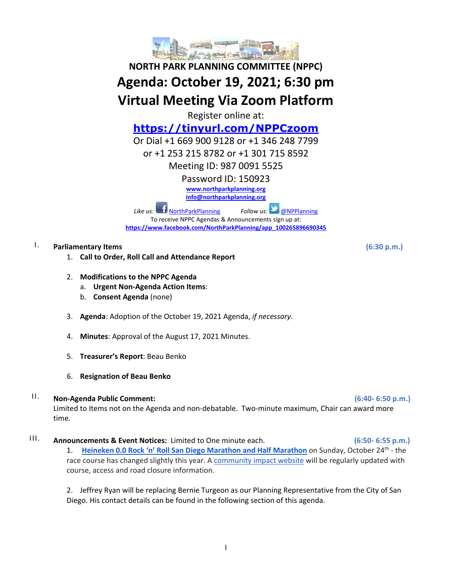

# **NORTH PARK PLANNING COMMITTEE (NPPC) Agenda: October 19, 2021; 6:30 pm Virtual Meeting Via Zoom Platform**

Register online at:

# **<https://tinyurl.com/NPPCzoom>**

Or Dial +1 669 900 9128 or +1 346 248 7799

or +1 253 215 8782 or +1 301 715 8592

Meeting ID: 987 0091 5525

Password ID: 150923

**[www.northparkplanning.org](http://www.northparkplanning.org/)**

**[info@northparkplanning.org](mailto:info@northparkplanning.org)**

*Like us:* [NorthParkPlanning](http://www.facebook.com/NorthParkPlanning) *Follow us:* **OPPlanning** To receive NPPC Agendas & Announcements sign up at: **[https://www.facebook.com/NorthParkPlanning/app\\_100265896690345](https://www.facebook.com/NorthParkPlanning/app_100265896690345)**

# I. **Parliamentary Items (6:30 p.m.)**

- 1. **Call to Order, Roll Call and Attendance Report**
- 2. **Modifications to the NPPC Agenda**
	- a. **Urgent Non-Agenda Action Items**:
	- b. **Consent Agenda** (none)
- 3. **Agenda**: Adoption of the October 19, 2021 Agenda, *if necessary*.
- 4. **Minutes**: Approval of the August 17, 2021 Minutes.
- 5. **Treasurer's Report**: Beau Benko
- 6. **Resignation of Beau Benko**

# II. **Non-Agenda Public Comment: (6:40- 6:50 p.m.)**

Limited to Items not on the Agenda and non-debatable. Two-minute maximum, Chair can award more time.

III. **Announcements & Event Notices:** Limited to One minute each. **(6:50- 6:55 p.m.)**

1. **[Heineken 0.0 Rock 'n' Roll San Diego Marathon and Half Marathon](https://www.runrocknroll.com/san-diego?gclsrc=aw.ds&msclkid=4db5e7b2eacf1e95d15186e9a6dfd0f8)** on Sunday, October 24th - the race course has changed slightly this year. [A community impact website](https://www.runrocknroll.com/san-diego-road-closure) will be regularly updated with course, access and road closure information.

2. Jeffrey Ryan will be replacing Bernie Turgeon as our Planning Representative from the City of San Diego. His contact details can be found in the following section of this agenda.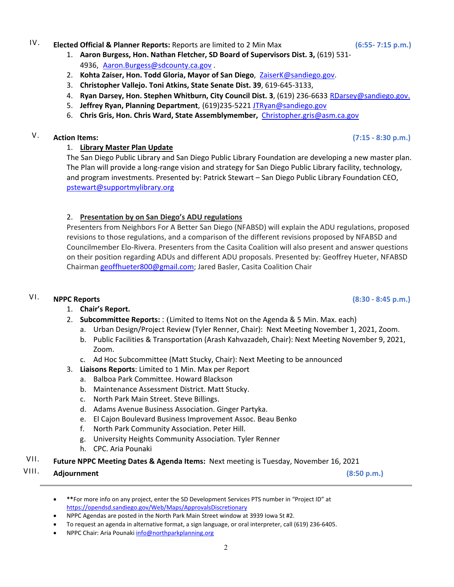# IV. **Elected Official & Planner Reports:** Reports are limited to 2 Min Max **(6:55- 7:15 p.m.)**

- 1. **Aaron Burgess, Hon. Nathan Fletcher, SD Board of Supervisors Dist. 3,** (619) 531- 4936, Aaron. Burgess@sdcounty.ca.gov.
- 2. **Kohta Zaiser, Hon. Todd Gloria, Mayor of San Diego**, ZaiserK@sandiego.gov.
- 3. **Christopher Vallejo. Toni Atkins, State Senate Dist. 39**, 619-645-3133,
- 4. **Ryan Darsey, Hon. Stephen Whitburn, City Council Dist. 3**, (619) 236-6633 RDarsey@sandiego.gov.
- 5. **Jeffrey Ryan, Planning Department**, (619)235-5221 [JTRyan@sandiego.gov](mailto:JTRyan@sandiego.gov)
- 6. **Chris Gris, Hon. Chris Ward, State Assemblymember,** [Christopher.gris@asm.ca.gov](mailto:Christopher.gris@asm.ca.gov)

#### V. **Action Items: (7:15 - 8:30 p.m.)**

#### 1. **Library Master Plan Update**

The San Diego Public Library and San Diego Public Library Foundation are developing a new master plan. The Plan will provide a long-range vision and strategy for San Diego Public Library facility, technology, and program investments. Presented by: Patrick Stewart – San Diego Public Library Foundation CEO, [pstewart@supportmylibrary.org](mailto:pstewart@supportmylibrary.org)

#### 2. **Presentation by on San Diego's ADU regulations**

Presenters from Neighbors For A Better San Diego (NFABSD) will explain the ADU regulations, proposed revisions to those regulations, and a comparison of the different revisions proposed by NFABSD and Councilmember Elo-Rivera. Presenters from the Casita Coalition will also present and answer questions on their position regarding ADUs and different ADU proposals. Presented by: Geoffrey Hueter, NFABSD Chairma[n geoffhueter800@gmail.com;](mailto:geoffhueter800@gmail.com) Jared Basler, Casita Coalition Chair

# VI. **NPPC Reports (8:30 - 8:45 p.m.)**

# 1. **Chair's Report.**

- 2. **Subcommittee Reports:** : (Limited to Items Not on the Agenda & 5 Min. Max. each)
	- a. Urban Design/Project Review (Tyler Renner, Chair): Next Meeting November 1, 2021, Zoom.
	- b. Public Facilities & Transportation (Arash Kahvazadeh, Chair): Next Meeting November 9, 2021, Zoom.
	- c. Ad Hoc Subcommittee (Matt Stucky, Chair): Next Meeting to be announced
- 3. **Liaisons Reports**: Limited to 1 Min. Max per Report
	- a. Balboa Park Committee. Howard Blackson
	- b. Maintenance Assessment District. Matt Stucky.
	- c. North Park Main Street. Steve Billings.
	- d. Adams Avenue Business Association. Ginger Partyka.
	- e. El Cajon Boulevard Business Improvement Assoc. Beau Benko
	- f. North Park Community Association. Peter Hill.
	- g. University Heights Community Association. Tyler Renner
	- h. CPC. Aria Pounaki
- VII. **Future NPPC Meeting Dates & Agenda Items:** Next meeting is Tuesday, November 16, 2021
- VIII. **Adjournment (8:50 p.m.)**

• **\*\***For more info on any project, enter the SD Development Services PTS number in "Project ID" at <https://opendsd.sandiego.gov/Web/Maps/ApprovalsDiscretionary>

- NPPC Agendas are posted in the North Park Main Street window at 3939 Iowa St #2.
- To request an agenda in alternative format, a sign language, or oral interpreter, call (619) 236-6405.
- NPPC Chair: Aria Pounaki [info@northparkplanning.org](mailto:info@northparkplanning.org)